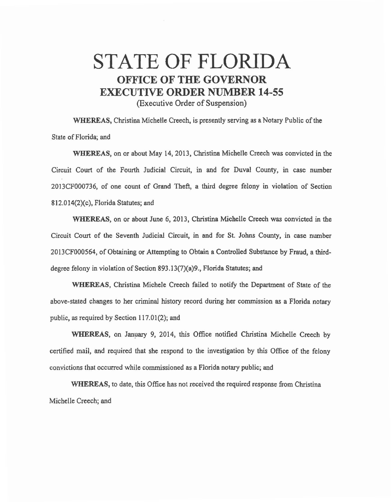## STATE OF FLORIDA **OFFICE OF THE GOVERNOR EXECUTIVE ORDER NUMBER 14-55**

(Executive Order of Suspension)

WHEREAS, Christina Michelle Creech, is presently serving as a Notary Public of the State of Florida; and

WHEREAS, on or about May 14, 2013, Christina Michelle Creech was convicted in the Circuit Court of the Fourth Judicial Circuit, in and for Duval County, in case number 2013CF000736, of one count of Grand Theft, a third degree felony in violation of Section 812.014(2)(c), Florida Statutes; and

WHEREAS, on or about June 6, 2013, Christina Michelle Creech was convicted in the Circuit Court of the Seventh Judicial Circuit, in and for St. Johns County, in case number 2013CF000564, of Obtaining or Attempting to Obtain a Controlled Substance by Fraud, a thirddegree felony in violation of Section 893.13(7)(a)9., Florida Statutes; and

WHEREAS, Christina Michele Creech failed to notify the Department of State of the above-stated changes to her criminal history record during her commission as a Florida notary public, as required by Section 117.01(2); and

WHEREAS, on January 9, 2014, this Office notified Christina Michelle Creech by certified mail, and required that she respond to the investigation by this Office of the felony convictions that occurred while commissioned as a Florida notary public; and

WHEREAS, to date, this Office has not received the required response from Christina Michelle Creech; and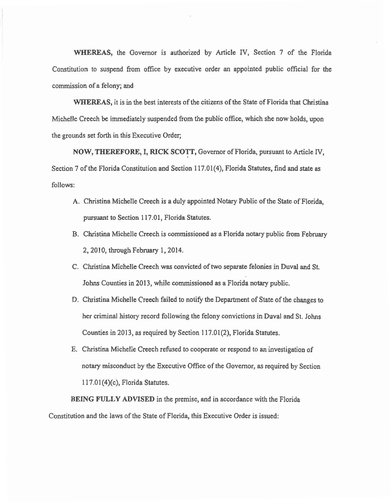WHEREAS, the Governor is authorized by Article IV, Section 7 of the Florida Constitution to suspend from office by executive order an appointed public official for the commission of a felony; and

WHEREAS, it is in the best interests of the citizens of the State of Florida that Christina Michelle Creech be immediately suspended from the public office, which she now holds, upon the grounds set forth in this Executive Order;

NOW, THEREFORE, I, RICK SCOTT, Governor of Florida, pursuant to Article IV, Section 7 of the Florida Constitution and Section 117.01(4), Florida Statutes, find and state as follows:

- A. Christina Michelle Creech is a duly appointed Notary Public of the State of Florida, pursuant to Section 117.01, Florida Statutes.
- B. Christina Michelle Creech is commissioned as a Florida notary public from February 2, 2010, through February 1, 2014.
- C. Cluistina Michelle Creech *was* convicted of two separate felonies in Duval and St. Johns Counties in 2013, while commissioned as a Florida notary public.
- D. Christina Michelle Creech failed to notify the Department of State of the changes to her criminal history record following the felony convictions in Duval and St. Johns Counties in 2013, as required by Section I 17.01(2), Florida Statutes.
- E. Christina Michelle Creech refused to cooperate or respond to an investigation of notary misconduct by the Executive Office of the Governor, as required by Section 117.01(4)(c), Florida Statutes.

BEING FULLY ADVISED in the premise, and in accordance with the Florida Constitution and the laws of the State of Florida, this Executive Order is issued: